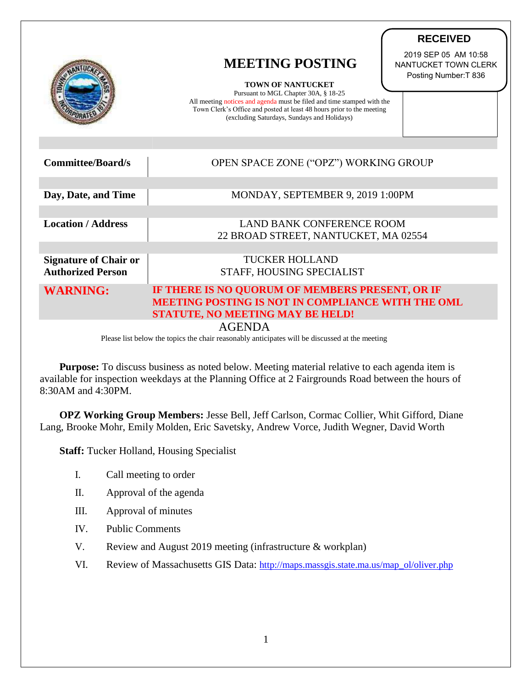|                              | <b>MEETING POSTING</b><br><b>TOWN OF NANTUCKET</b><br>Pursuant to MGL Chapter 30A, § 18-25<br>All meeting notices and agenda must be filed and time stamped with the<br>Town Clerk's Office and posted at least 48 hours prior to the meeting<br>(excluding Saturdays, Sundays and Holidays) | 2019 SEP 05 AM 10:58<br>NANTUCKET TOWN CLERK<br>Posting Number: T 836 |
|------------------------------|----------------------------------------------------------------------------------------------------------------------------------------------------------------------------------------------------------------------------------------------------------------------------------------------|-----------------------------------------------------------------------|
|                              |                                                                                                                                                                                                                                                                                              |                                                                       |
| <b>Committee/Board/s</b>     | OPEN SPACE ZONE ("OPZ") WORKING GROUP                                                                                                                                                                                                                                                        |                                                                       |
|                              |                                                                                                                                                                                                                                                                                              |                                                                       |
| Day, Date, and Time          | MONDAY, SEPTEMBER 9, 2019 1:00PM                                                                                                                                                                                                                                                             |                                                                       |
|                              |                                                                                                                                                                                                                                                                                              |                                                                       |
| <b>Location / Address</b>    | <b>LAND BANK CONFERENCE ROOM</b>                                                                                                                                                                                                                                                             |                                                                       |
|                              | 22 BROAD STREET, NANTUCKET, MA 02554                                                                                                                                                                                                                                                         |                                                                       |
|                              |                                                                                                                                                                                                                                                                                              |                                                                       |
| <b>Signature of Chair or</b> | <b>TUCKER HOLLAND</b>                                                                                                                                                                                                                                                                        |                                                                       |
| <b>Authorized Person</b>     | STAFF, HOUSING SPECIALIST                                                                                                                                                                                                                                                                    |                                                                       |
| <b>WARNING:</b>              | IF THERE IS NO QUORUM OF MEMBERS PRESENT, OR IF                                                                                                                                                                                                                                              |                                                                       |
|                              | MEETING POSTING IS NOT IN COMPLIANCE WITH THE OML                                                                                                                                                                                                                                            |                                                                       |
|                              | <b>STATUTE, NO MEETING MAY BE HELD!</b>                                                                                                                                                                                                                                                      |                                                                       |
|                              | <b>AGENDA</b>                                                                                                                                                                                                                                                                                |                                                                       |

**RECEIVED**

Please list below the topics the chair reasonably anticipates will be discussed at the meeting

**Purpose:** To discuss business as noted below. Meeting material relative to each agenda item is available for inspection weekdays at the Planning Office at 2 Fairgrounds Road between the hours of 8:30AM and 4:30PM.

**OPZ Working Group Members:** Jesse Bell, Jeff Carlson, Cormac Collier, Whit Gifford, Diane Lang, Brooke Mohr, Emily Molden, Eric Savetsky, Andrew Vorce, Judith Wegner, David Worth

**Staff:** Tucker Holland, Housing Specialist

- I. Call meeting to order
- II. Approval of the agenda
- III. Approval of minutes
- IV. Public Comments
- V. Review and August 2019 meeting (infrastructure & workplan)
- VI. Review of Massachusetts GIS Data: [http://maps.massgis.state.ma.us/map\\_ol/oliver.php](http://maps.massgis.state.ma.us/map_ol/oliver.php)